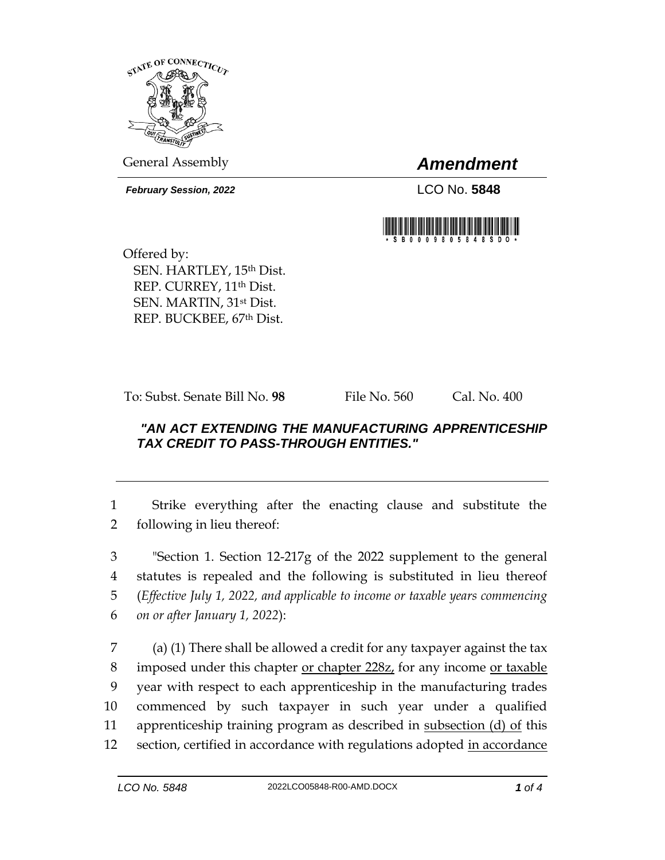

General Assembly *Amendment*

*February Session, 2022* LCO No. **5848**



Offered by: SEN. HARTLEY, 15th Dist. REP. CURREY, 11<sup>th</sup> Dist. SEN. MARTIN, 31st Dist. REP. BUCKBEE, 67th Dist.

To: Subst. Senate Bill No. **98** File No. 560 Cal. No. 400

## *"AN ACT EXTENDING THE MANUFACTURING APPRENTICESHIP TAX CREDIT TO PASS-THROUGH ENTITIES."*

1 Strike everything after the enacting clause and substitute the 2 following in lieu thereof:

 "Section 1. Section 12-217g of the 2022 supplement to the general statutes is repealed and the following is substituted in lieu thereof (*Effective July 1, 2022, and applicable to income or taxable years commencing on or after January 1, 2022*):

7 (a) (1) There shall be allowed a credit for any taxpayer against the tax 8 imposed under this chapter <u>or chapter 228z</u>, for any income <u>or taxable</u> 9 year with respect to each apprenticeship in the manufacturing trades 10 commenced by such taxpayer in such year under a qualified 11 apprenticeship training program as described in subsection (d) of this 12 section, certified in accordance with regulations adopted in accordance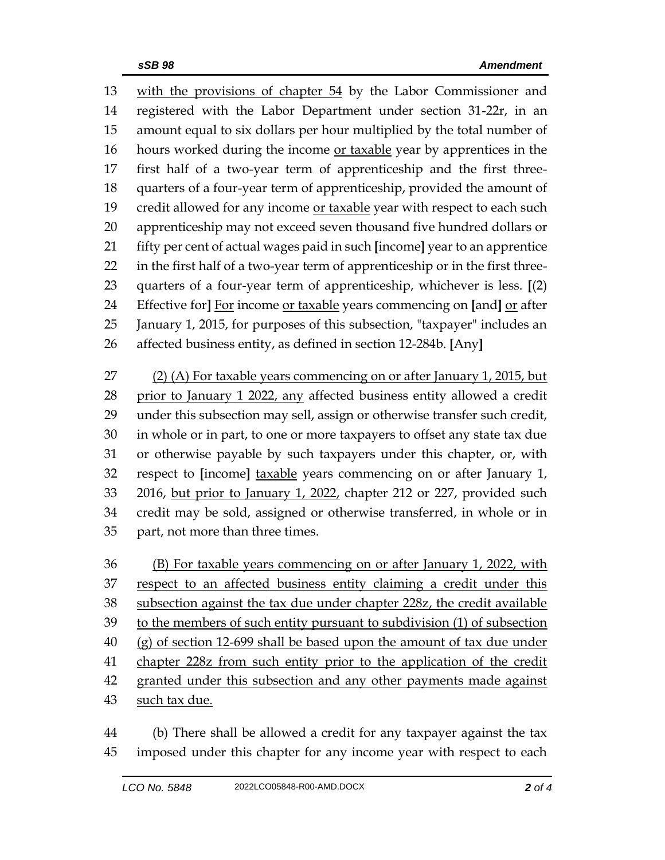with the provisions of chapter 54 by the Labor Commissioner and registered with the Labor Department under section 31-22r, in an amount equal to six dollars per hour multiplied by the total number of hours worked during the income or taxable year by apprentices in the first half of a two-year term of apprenticeship and the first three- quarters of a four-year term of apprenticeship, provided the amount of 19 credit allowed for any income or taxable year with respect to each such apprenticeship may not exceed seven thousand five hundred dollars or fifty per cent of actual wages paid in such **[**income**]** year to an apprentice in the first half of a two-year term of apprenticeship or in the first three- quarters of a four-year term of apprenticeship, whichever is less. **[**(2) Effective for**]** For income or taxable years commencing on **[**and**]** or after January 1, 2015, for purposes of this subsection, "taxpayer" includes an affected business entity, as defined in section 12-284b. **[**Any**]**

 (2) (A) For taxable years commencing on or after January 1, 2015, but 28 prior to January 1 2022, any affected business entity allowed a credit under this subsection may sell, assign or otherwise transfer such credit, in whole or in part, to one or more taxpayers to offset any state tax due or otherwise payable by such taxpayers under this chapter, or, with respect to **[**income**]** taxable years commencing on or after January 1, 33 2016, but prior to January 1, 2022, chapter 212 or 227, provided such credit may be sold, assigned or otherwise transferred, in whole or in part, not more than three times.

 (B) For taxable years commencing on or after January 1, 2022, with 37 respect to an affected business entity claiming a credit under this subsection against the tax due under chapter 228z, the credit available to the members of such entity pursuant to subdivision (1) of subsection (g) of section 12-699 shall be based upon the amount of tax due under chapter 228z from such entity prior to the application of the credit granted under this subsection and any other payments made against such tax due.

 (b) There shall be allowed a credit for any taxpayer against the tax imposed under this chapter for any income year with respect to each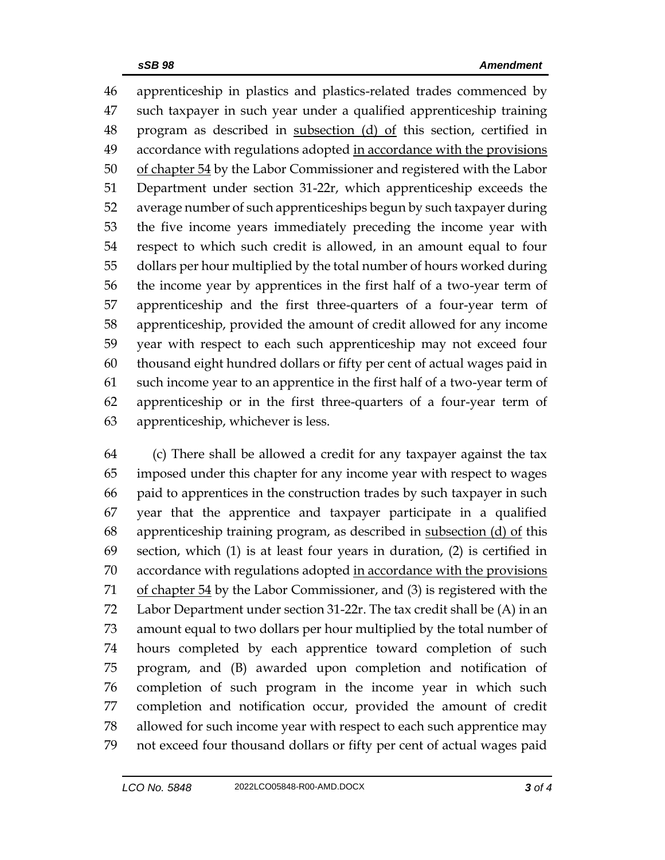apprenticeship in plastics and plastics-related trades commenced by such taxpayer in such year under a qualified apprenticeship training 48 program as described in subsection (d) of this section, certified in accordance with regulations adopted in accordance with the provisions 50 of chapter 54 by the Labor Commissioner and registered with the Labor Department under section 31-22r, which apprenticeship exceeds the average number of such apprenticeships begun by such taxpayer during the five income years immediately preceding the income year with respect to which such credit is allowed, in an amount equal to four dollars per hour multiplied by the total number of hours worked during the income year by apprentices in the first half of a two-year term of apprenticeship and the first three-quarters of a four-year term of apprenticeship, provided the amount of credit allowed for any income year with respect to each such apprenticeship may not exceed four thousand eight hundred dollars or fifty per cent of actual wages paid in such income year to an apprentice in the first half of a two-year term of apprenticeship or in the first three-quarters of a four-year term of apprenticeship, whichever is less.

 (c) There shall be allowed a credit for any taxpayer against the tax imposed under this chapter for any income year with respect to wages paid to apprentices in the construction trades by such taxpayer in such year that the apprentice and taxpayer participate in a qualified 68 apprenticeship training program, as described in subsection (d) of this section, which (1) is at least four years in duration, (2) is certified in 70 accordance with regulations adopted in accordance with the provisions 71 of chapter by the Labor Commissioner, and (3) is registered with the Labor Department under section 31-22r. The tax credit shall be (A) in an amount equal to two dollars per hour multiplied by the total number of hours completed by each apprentice toward completion of such program, and (B) awarded upon completion and notification of completion of such program in the income year in which such completion and notification occur, provided the amount of credit allowed for such income year with respect to each such apprentice may not exceed four thousand dollars or fifty per cent of actual wages paid